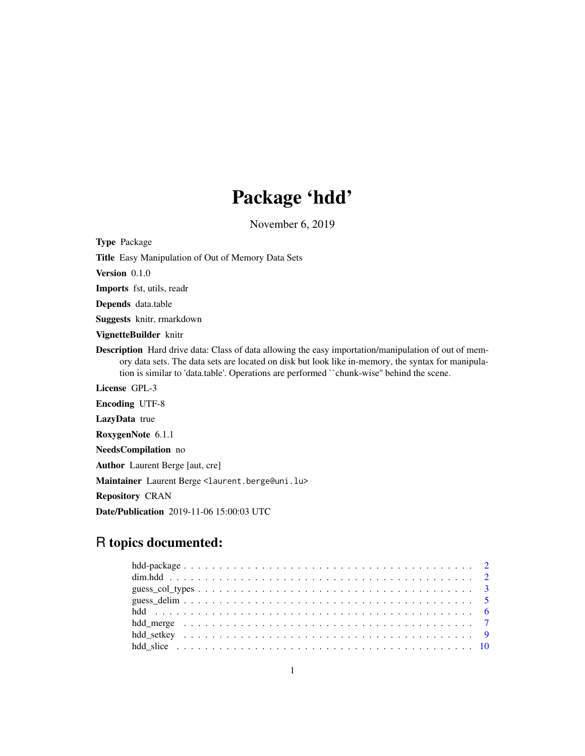# Package 'hdd'

November 6, 2019

<span id="page-0-0"></span>Type Package

Title Easy Manipulation of Out of Memory Data Sets

Version 0.1.0

Imports fst, utils, readr

Depends data.table

Suggests knitr, rmarkdown

VignetteBuilder knitr

Description Hard drive data: Class of data allowing the easy importation/manipulation of out of memory data sets. The data sets are located on disk but look like in-memory, the syntax for manipulation is similar to 'data.table'. Operations are performed ``chunk-wise'' behind the scene.

License GPL-3

Encoding UTF-8

LazyData true

RoxygenNote 6.1.1

NeedsCompilation no

Author Laurent Berge [aut, cre]

Maintainer Laurent Berge <laurent.berge@uni.lu>

Repository CRAN

Date/Publication 2019-11-06 15:00:03 UTC

# R topics documented: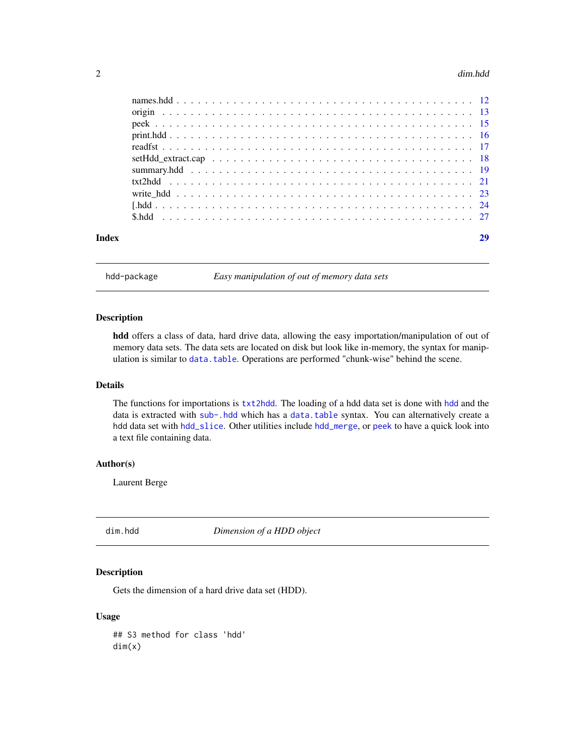#### <span id="page-1-0"></span>2 dim.hdd

| Index |  |
|-------|--|
|       |  |
|       |  |
|       |  |
|       |  |
|       |  |
|       |  |
|       |  |
|       |  |
|       |  |
|       |  |
|       |  |

hdd-package *Easy manipulation of out of memory data sets*

#### Description

hdd offers a class of data, hard drive data, allowing the easy importation/manipulation of out of memory data sets. The data sets are located on disk but look like in-memory, the syntax for manipulation is similar to [data.table](#page-0-0). Operations are performed "chunk-wise" behind the scene.

# Details

The functions for importations is [txt2hdd](#page-20-1). The loading of a hdd data set is done with [hdd](#page-5-1) and the data is extracted with [sub-.hdd](#page-0-0) which has a [data.table](#page-0-0) syntax. You can alternatively create a hdd data set with [hdd\\_slice](#page-9-1). Other utilities include [hdd\\_merge](#page-6-1), or [peek](#page-14-1) to have a quick look into a text file containing data.

# Author(s)

Laurent Berge

<span id="page-1-1"></span>dim.hdd *Dimension of a HDD object*

# Description

Gets the dimension of a hard drive data set (HDD).

#### Usage

## S3 method for class 'hdd' dim(x)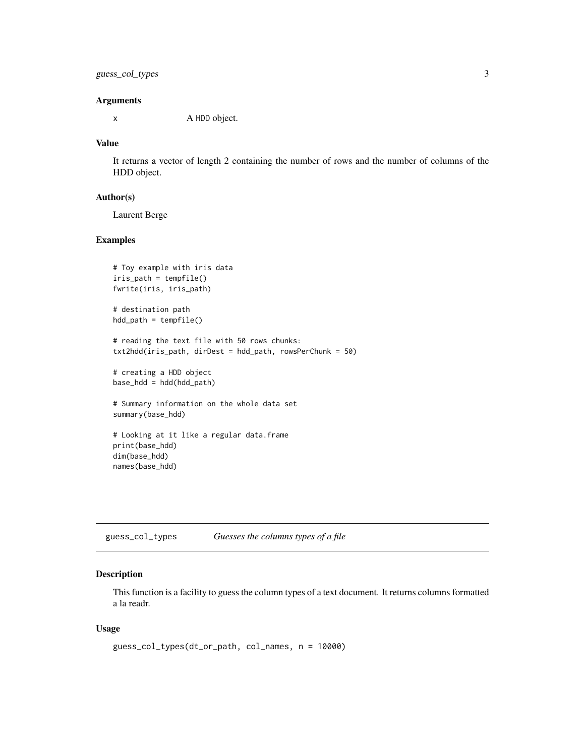# <span id="page-2-0"></span>guess\_col\_types 3

#### **Arguments**

x A HDD object.

# Value

It returns a vector of length 2 containing the number of rows and the number of columns of the HDD object.

#### Author(s)

Laurent Berge

# Examples

```
# Toy example with iris data
iris_path = tempfile()
fwrite(iris, iris_path)
# destination path
hdd_path = tempfile()
# reading the text file with 50 rows chunks:
txt2hdd(iris_path, dirDest = hdd_path, rowsPerChunk = 50)
# creating a HDD object
base_hdd = hdd(hdd_path)
# Summary information on the whole data set
summary(base_hdd)
# Looking at it like a regular data.frame
print(base_hdd)
dim(base_hdd)
names(base_hdd)
```
<span id="page-2-1"></span>guess\_col\_types *Guesses the columns types of a file*

# Description

This function is a facility to guess the column types of a text document. It returns columns formatted a la readr.

#### Usage

```
guess_col_types(dt_or_path, col_names, n = 10000)
```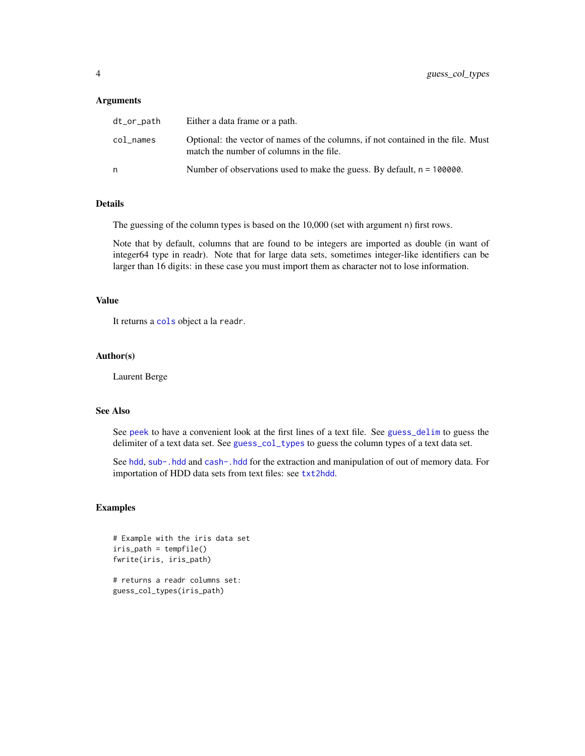#### **Arguments**

| dt_or_path | Either a data frame or a path.                                                                                               |
|------------|------------------------------------------------------------------------------------------------------------------------------|
| col names  | Optional: the vector of names of the columns, if not contained in the file. Must<br>match the number of columns in the file. |
| n          | Number of observations used to make the guess. By default, $n = 100000$ .                                                    |

# Details

The guessing of the column types is based on the 10,000 (set with argument n) first rows.

Note that by default, columns that are found to be integers are imported as double (in want of integer64 type in readr). Note that for large data sets, sometimes integer-like identifiers can be larger than 16 digits: in these case you must import them as character not to lose information.

# Value

It returns a [cols](#page-0-0) object a la readr.

#### Author(s)

Laurent Berge

# See Also

See [peek](#page-14-1) to have a convenient look at the first lines of a text file. See [guess\\_delim](#page-4-1) to guess the delimiter of a text data set. See [guess\\_col\\_types](#page-2-1) to guess the column types of a text data set.

See [hdd](#page-5-1), [sub-.hdd](#page-0-0) and [cash-.hdd](#page-0-0) for the extraction and manipulation of out of memory data. For importation of HDD data sets from text files: see [txt2hdd](#page-20-1).

# Examples

```
# Example with the iris data set
iris_path = tempfile()
fwrite(iris, iris_path)
# returns a readr columns set:
```
guess\_col\_types(iris\_path)

<span id="page-3-0"></span>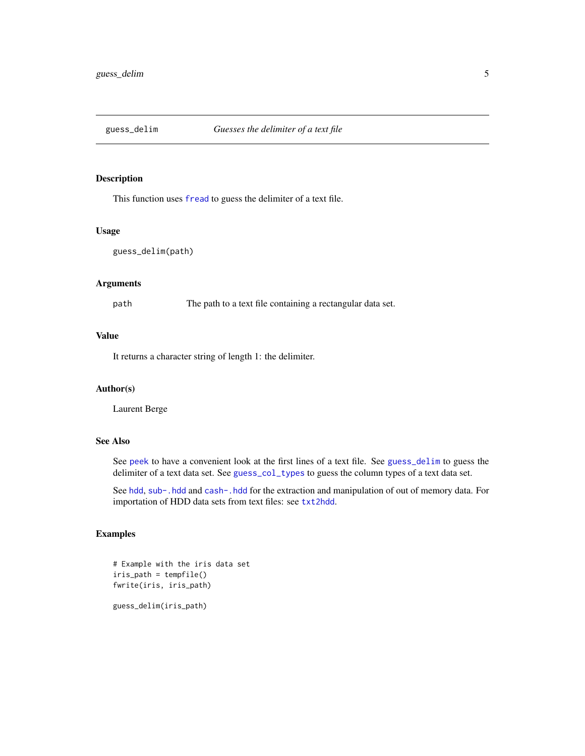<span id="page-4-1"></span><span id="page-4-0"></span>

# Description

This function uses [fread](#page-0-0) to guess the delimiter of a text file.

# Usage

guess\_delim(path)

# Arguments

path The path to a text file containing a rectangular data set.

# Value

It returns a character string of length 1: the delimiter.

# Author(s)

Laurent Berge

# See Also

See [peek](#page-14-1) to have a convenient look at the first lines of a text file. See [guess\\_delim](#page-4-1) to guess the delimiter of a text data set. See [guess\\_col\\_types](#page-2-1) to guess the column types of a text data set.

See [hdd](#page-5-1), [sub-.hdd](#page-0-0) and [cash-.hdd](#page-0-0) for the extraction and manipulation of out of memory data. For importation of HDD data sets from text files: see [txt2hdd](#page-20-1).

# Examples

```
# Example with the iris data set
iris_path = tempfile()
fwrite(iris, iris_path)
```
guess\_delim(iris\_path)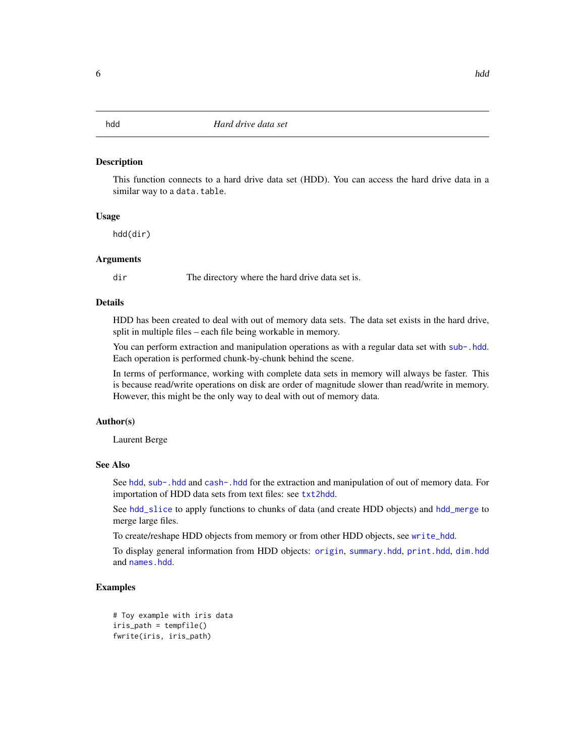#### <span id="page-5-1"></span><span id="page-5-0"></span>**Description**

This function connects to a hard drive data set (HDD). You can access the hard drive data in a similar way to a data.table.

#### Usage

hdd(dir)

# Arguments

dir The directory where the hard drive data set is.

# Details

HDD has been created to deal with out of memory data sets. The data set exists in the hard drive, split in multiple files – each file being workable in memory.

You can perform extraction and manipulation operations as with a regular data set with [sub-.hdd](#page-0-0). Each operation is performed chunk-by-chunk behind the scene.

In terms of performance, working with complete data sets in memory will always be faster. This is because read/write operations on disk are order of magnitude slower than read/write in memory. However, this might be the only way to deal with out of memory data.

# Author(s)

Laurent Berge

#### See Also

See [hdd](#page-5-1), [sub-.hdd](#page-0-0) and [cash-.hdd](#page-0-0) for the extraction and manipulation of out of memory data. For importation of HDD data sets from text files: see [txt2hdd](#page-20-1).

See [hdd\\_slice](#page-9-1) to apply functions to chunks of data (and create HDD objects) and [hdd\\_merge](#page-6-1) to merge large files.

To create/reshape HDD objects from memory or from other HDD objects, see [write\\_hdd](#page-22-1).

To display general information from HDD objects: [origin](#page-12-1), [summary.hdd](#page-18-1), [print.hdd](#page-15-1), [dim.hdd](#page-1-1) and [names.hdd](#page-11-1).

```
# Toy example with iris data
iris_path = tempfile()
fwrite(iris, iris_path)
```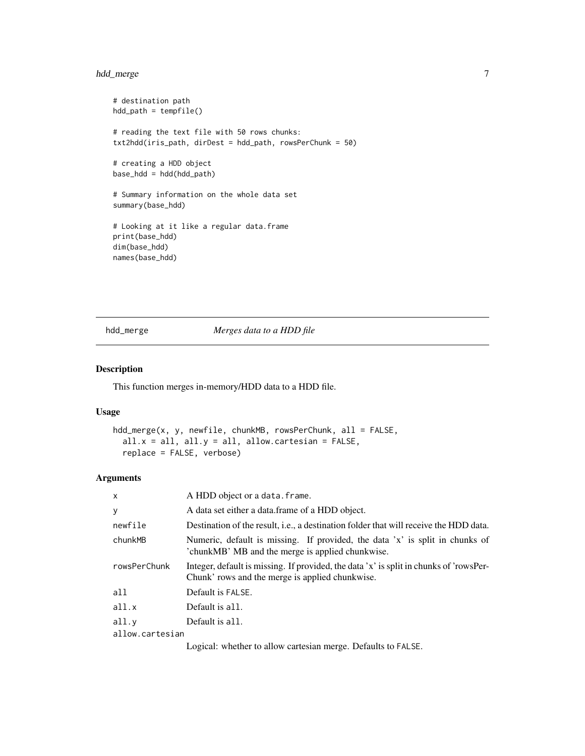# <span id="page-6-0"></span>hdd\_merge 7

```
# destination path
hdd_path = tempfile()
# reading the text file with 50 rows chunks:
txt2hdd(iris_path, dirDest = hdd_path, rowsPerChunk = 50)
# creating a HDD object
base_hdd = hdd(hdd_path)
# Summary information on the whole data set
summary(base_hdd)
# Looking at it like a regular data.frame
print(base_hdd)
dim(base_hdd)
names(base_hdd)
```
<span id="page-6-1"></span>hdd\_merge *Merges data to a HDD file*

# Description

This function merges in-memory/HDD data to a HDD file.

# Usage

```
hdd_merge(x, y, newfile, chunkMB, rowsPerChunk, all = FALSE,
  all.x = all, all.y = all, allow.cartesian = FALSE,replace = FALSE, verbose)
```
# Arguments

| $\mathsf{x}$    | A HDD object or a data. frame.                                                                                                            |  |
|-----------------|-------------------------------------------------------------------------------------------------------------------------------------------|--|
| У               | A data set either a data frame of a HDD object.                                                                                           |  |
| newfile         | Destination of the result, <i>i.e.</i> , a destination folder that will receive the HDD data.                                             |  |
| chunkMB         | Numeric, default is missing. If provided, the data 'x' is split in chunks of<br>'chunkMB' MB and the merge is applied chunkwise.          |  |
| rowsPerChunk    | Integer, default is missing. If provided, the data 'x' is split in chunks of 'rowsPer-<br>Chunk' rows and the merge is applied chunkwise. |  |
| all             | Default is FALSE.                                                                                                                         |  |
| all.x           | Default is all.                                                                                                                           |  |
| all.y           | Default is all.                                                                                                                           |  |
| allow.cartesian |                                                                                                                                           |  |
|                 |                                                                                                                                           |  |

Logical: whether to allow cartesian merge. Defaults to FALSE.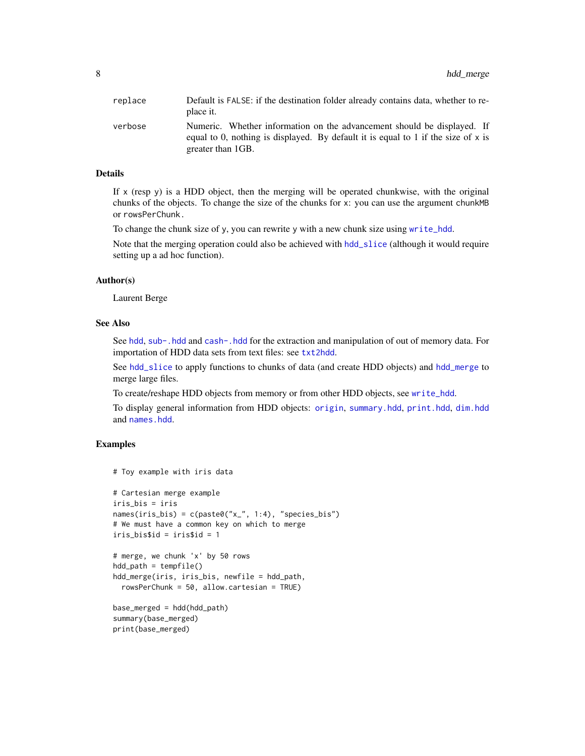<span id="page-7-0"></span>

| replace | Default is FALSE: if the destination folder already contains data, whether to re-<br>place it.                                                                                      |
|---------|-------------------------------------------------------------------------------------------------------------------------------------------------------------------------------------|
| verbose | Numeric. Whether information on the advancement should be displayed. If<br>equal to 0, nothing is displayed. By default it is equal to 1 if the size of $x$ is<br>greater than 1GB. |

#### Details

If  $x$  (resp  $y$ ) is a HDD object, then the merging will be operated chunkwise, with the original chunks of the objects. To change the size of the chunks for x: you can use the argument chunkMB or rowsPerChunk.

To change the chunk size of y, you can rewrite y with a new chunk size using [write\\_hdd](#page-22-1).

Note that the merging operation could also be achieved with [hdd\\_slice](#page-9-1) (although it would require setting up a ad hoc function).

# Author(s)

Laurent Berge

# See Also

See [hdd](#page-5-1), [sub-.hdd](#page-0-0) and [cash-.hdd](#page-0-0) for the extraction and manipulation of out of memory data. For importation of HDD data sets from text files: see [txt2hdd](#page-20-1).

See [hdd\\_slice](#page-9-1) to apply functions to chunks of data (and create HDD objects) and [hdd\\_merge](#page-6-1) to merge large files.

To create/reshape HDD objects from memory or from other HDD objects, see [write\\_hdd](#page-22-1).

To display general information from HDD objects: [origin](#page-12-1), [summary.hdd](#page-18-1), [print.hdd](#page-15-1), [dim.hdd](#page-1-1) and [names.hdd](#page-11-1).

```
# Toy example with iris data
# Cartesian merge example
iris_bis = iris
names(iris_bis) = c(paste0("x_", 1:4), "species_bis")
# We must have a common key on which to merge
iris_bis$id = iris$id = 1
# merge, we chunk 'x' by 50 rows
hdd_path = tempfile()
hdd_merge(iris, iris_bis, newfile = hdd_path,
 rowsPerChunk = 50, allow.cartesian = TRUE)
base_merged = hdd(hdd_path)
summary(base_merged)
print(base_merged)
```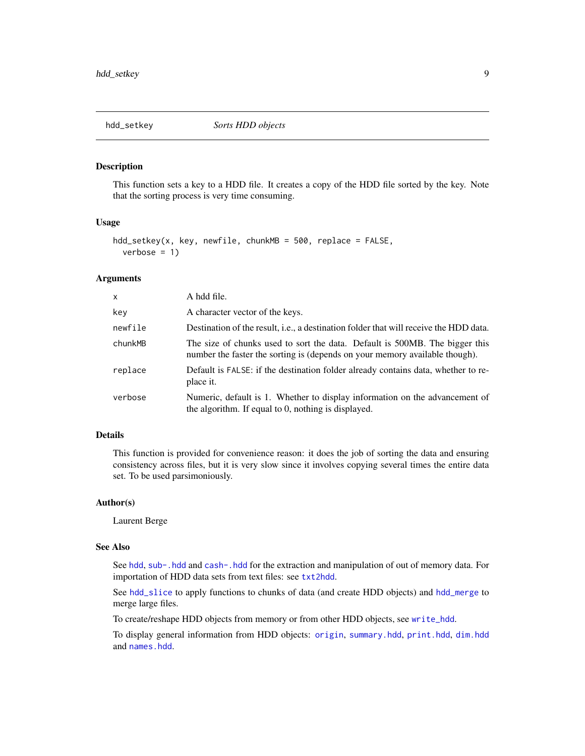<span id="page-8-0"></span>

#### Description

This function sets a key to a HDD file. It creates a copy of the HDD file sorted by the key. Note that the sorting process is very time consuming.

#### Usage

```
hdd\_setkey(x, key, newfile, chunkMB = 500, replace = FALSE,verbose = 1)
```
# Arguments

| X       | A hdd file.                                                                                                                                                |
|---------|------------------------------------------------------------------------------------------------------------------------------------------------------------|
| key     | A character vector of the keys.                                                                                                                            |
| newfile | Destination of the result, <i>i.e.</i> , a destination folder that will receive the HDD data.                                                              |
| chunkMB | The size of chunks used to sort the data. Default is 500MB. The bigger this<br>number the faster the sorting is (depends on your memory available though). |
| replace | Default is FALSE: if the destination folder already contains data, whether to re-<br>place it.                                                             |
| verbose | Numeric, default is 1. Whether to display information on the advancement of<br>the algorithm. If equal to 0, nothing is displayed.                         |

# Details

This function is provided for convenience reason: it does the job of sorting the data and ensuring consistency across files, but it is very slow since it involves copying several times the entire data set. To be used parsimoniously.

# Author(s)

Laurent Berge

#### See Also

See [hdd](#page-5-1), [sub-.hdd](#page-0-0) and [cash-.hdd](#page-0-0) for the extraction and manipulation of out of memory data. For importation of HDD data sets from text files: see [txt2hdd](#page-20-1).

See [hdd\\_slice](#page-9-1) to apply functions to chunks of data (and create HDD objects) and [hdd\\_merge](#page-6-1) to merge large files.

To create/reshape HDD objects from memory or from other HDD objects, see [write\\_hdd](#page-22-1).

To display general information from HDD objects: [origin](#page-12-1), [summary.hdd](#page-18-1), [print.hdd](#page-15-1), [dim.hdd](#page-1-1) and [names.hdd](#page-11-1).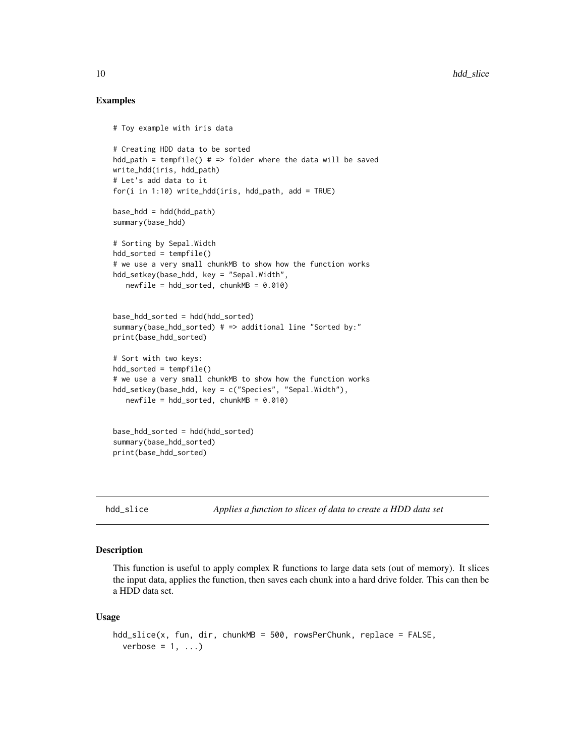# Examples

```
# Toy example with iris data
# Creating HDD data to be sorted
hdd_path = tempfile() # => folder where the data will be saved
write_hdd(iris, hdd_path)
# Let's add data to it
for(i in 1:10) write_hdd(iris, hdd_path, add = TRUE)
base_hdd = hdd(hdd_path)
summary(base_hdd)
# Sorting by Sepal.Width
hdd_sorted = tempfile()
# we use a very small chunkMB to show how the function works
hdd_setkey(base_hdd, key = "Sepal.Width",
   newfile = hdd\_sorted, chunkMB = 0.010base_hdd_sorted = hdd(hdd_sorted)
summary(base_hdd_sorted) # => additional line "Sorted by:"
print(base_hdd_sorted)
# Sort with two keys:
hdd_sorted = tempfile()
# we use a very small chunkMB to show how the function works
hdd_setkey(base_hdd, key = c("Species", "Sepal.Width"),
   newfile = hdd_sorted, chunkMB = 0.010base_hdd_sorted = hdd(hdd_sorted)
summary(base_hdd_sorted)
print(base_hdd_sorted)
```
<span id="page-9-1"></span>

hdd\_slice *Applies a function to slices of data to create a HDD data set*

# Description

This function is useful to apply complex R functions to large data sets (out of memory). It slices the input data, applies the function, then saves each chunk into a hard drive folder. This can then be a HDD data set.

#### Usage

```
hdd_slice(x, fun, dir, chunkMB = 500, rowsPerChunk, replace = FALSE,
 verbose = 1, ...)
```
<span id="page-9-0"></span>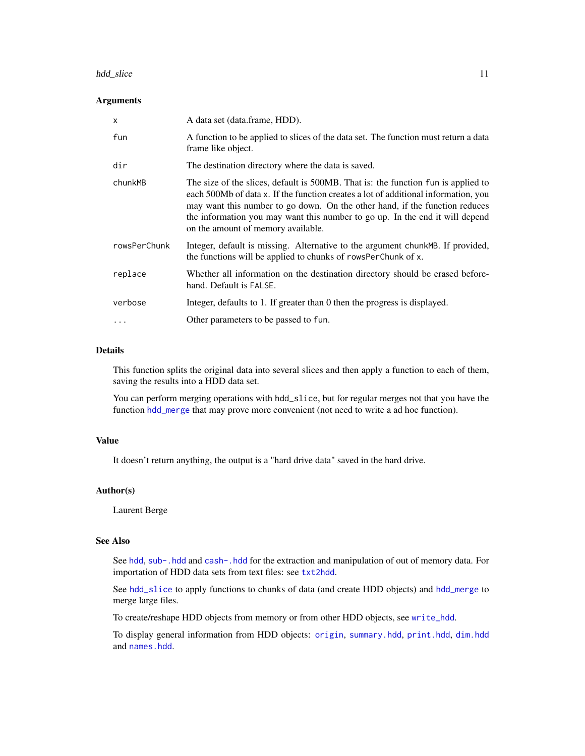#### <span id="page-10-0"></span>hdd\_slice 11

#### Arguments

| $\times$     | A data set (data.frame, HDD).                                                                                                                                                                                                                                                                                                                                                |
|--------------|------------------------------------------------------------------------------------------------------------------------------------------------------------------------------------------------------------------------------------------------------------------------------------------------------------------------------------------------------------------------------|
| fun          | A function to be applied to slices of the data set. The function must return a data<br>frame like object.                                                                                                                                                                                                                                                                    |
| dir          | The destination directory where the data is saved.                                                                                                                                                                                                                                                                                                                           |
| chunkMB      | The size of the slices, default is 500MB. That is: the function fun is applied to<br>each 500Mb of data x. If the function creates a lot of additional information, you<br>may want this number to go down. On the other hand, if the function reduces<br>the information you may want this number to go up. In the end it will depend<br>on the amount of memory available. |
| rowsPerChunk | Integer, default is missing. Alternative to the argument chunkMB. If provided,<br>the functions will be applied to chunks of rowsPerChunk of x.                                                                                                                                                                                                                              |
| replace      | Whether all information on the destination directory should be erased before-<br>hand. Default is FALSE.                                                                                                                                                                                                                                                                     |
| verbose      | Integer, defaults to 1. If greater than 0 then the progress is displayed.                                                                                                                                                                                                                                                                                                    |
|              | Other parameters to be passed to fun.                                                                                                                                                                                                                                                                                                                                        |

#### Details

This function splits the original data into several slices and then apply a function to each of them, saving the results into a HDD data set.

You can perform merging operations with hdd\_slice, but for regular merges not that you have the function [hdd\\_merge](#page-6-1) that may prove more convenient (not need to write a ad hoc function).

# Value

It doesn't return anything, the output is a "hard drive data" saved in the hard drive.

#### Author(s)

Laurent Berge

# See Also

See [hdd](#page-5-1), [sub-.hdd](#page-0-0) and [cash-.hdd](#page-0-0) for the extraction and manipulation of out of memory data. For importation of HDD data sets from text files: see [txt2hdd](#page-20-1).

See [hdd\\_slice](#page-9-1) to apply functions to chunks of data (and create HDD objects) and [hdd\\_merge](#page-6-1) to merge large files.

To create/reshape HDD objects from memory or from other HDD objects, see [write\\_hdd](#page-22-1).

To display general information from HDD objects: [origin](#page-12-1), [summary.hdd](#page-18-1), [print.hdd](#page-15-1), [dim.hdd](#page-1-1) and [names.hdd](#page-11-1).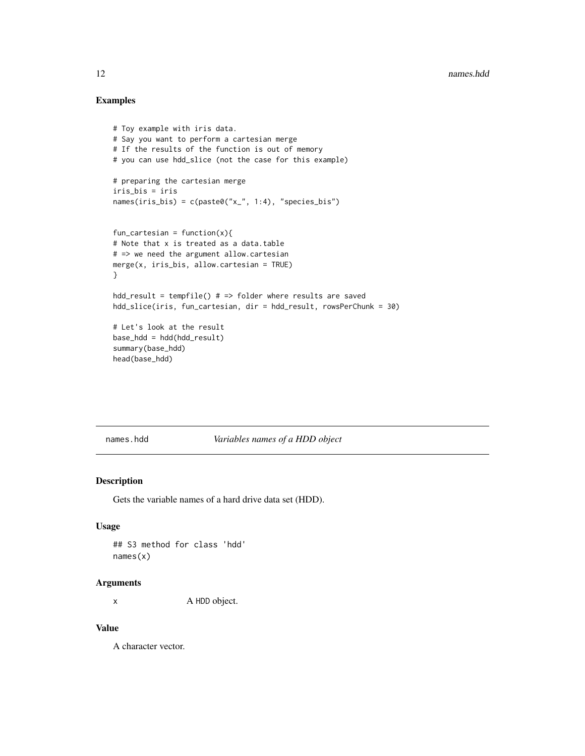# Examples

```
# Toy example with iris data.
# Say you want to perform a cartesian merge
# If the results of the function is out of memory
# you can use hdd_slice (not the case for this example)
# preparing the cartesian merge
iris_bis = iris
names(iris_bis) = c(paste0("x_", 1:4), "species_bis")
fun_cartesian = function(x){
# Note that x is treated as a data.table
# => we need the argument allow.cartesian
merge(x, iris_bis, allow.cartesian = TRUE)
}
hdd_result = tempfile() # => folder where results are saved
hdd_slice(iris, fun_cartesian, dir = hdd_result, rowsPerChunk = 30)
# Let's look at the result
base_hdd = hdd(hdd_result)
summary(base_hdd)
head(base_hdd)
```
<span id="page-11-1"></span>names.hdd *Variables names of a HDD object*

# Description

Gets the variable names of a hard drive data set (HDD).

#### Usage

## S3 method for class 'hdd' names(x)

# Arguments

x A HDD object.

#### Value

A character vector.

<span id="page-11-0"></span>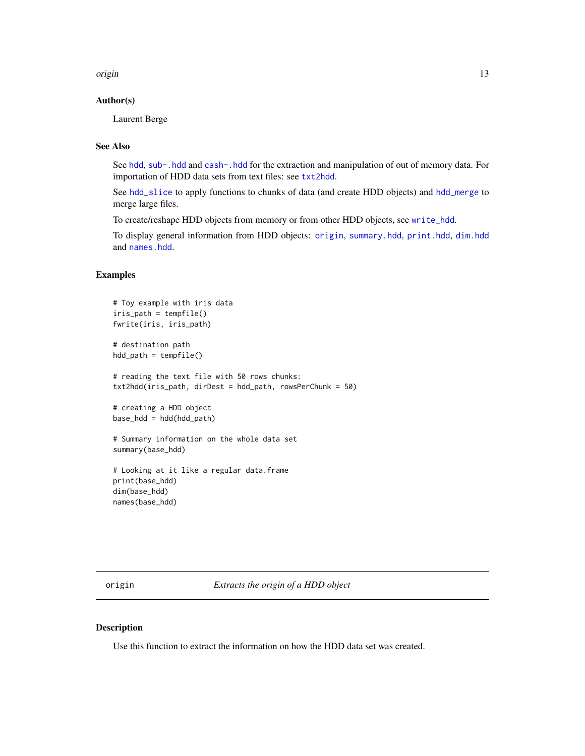<span id="page-12-0"></span>origin to the contract of the contract of the contract of the contract of the contract of the contract of the contract of the contract of the contract of the contract of the contract of the contract of the contract of the

# Author(s)

Laurent Berge

# See Also

See [hdd](#page-5-1), [sub-.hdd](#page-0-0) and [cash-.hdd](#page-0-0) for the extraction and manipulation of out of memory data. For importation of HDD data sets from text files: see [txt2hdd](#page-20-1).

See [hdd\\_slice](#page-9-1) to apply functions to chunks of data (and create HDD objects) and [hdd\\_merge](#page-6-1) to merge large files.

To create/reshape HDD objects from memory or from other HDD objects, see [write\\_hdd](#page-22-1).

To display general information from HDD objects: [origin](#page-12-1), [summary.hdd](#page-18-1), [print.hdd](#page-15-1), [dim.hdd](#page-1-1) and [names.hdd](#page-11-1).

# Examples

```
# Toy example with iris data
iris_path = tempfile()
fwrite(iris, iris_path)
# destination path
hdd_path = tempfile()
# reading the text file with 50 rows chunks:
txt2hdd(iris_path, dirDest = hdd_path, rowsPerChunk = 50)
# creating a HDD object
base_hdd = hdd(hdd_path)
# Summary information on the whole data set
summary(base_hdd)
# Looking at it like a regular data.frame
print(base_hdd)
dim(base_hdd)
```
names(base\_hdd)

<span id="page-12-1"></span>origin *Extracts the origin of a HDD object*

#### Description

Use this function to extract the information on how the HDD data set was created.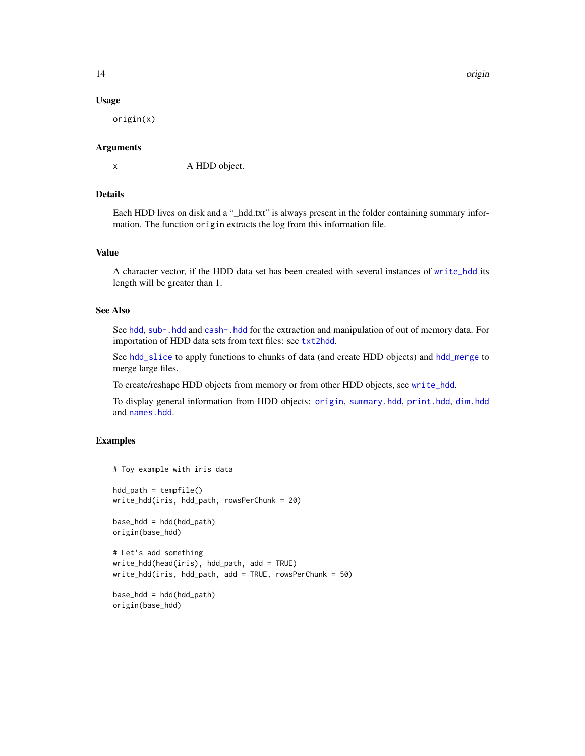14 origin

#### Usage

origin(x)

#### Arguments

x A HDD object.

# Details

Each HDD lives on disk and a "\_hdd.txt" is always present in the folder containing summary information. The function origin extracts the log from this information file.

# Value

A character vector, if the HDD data set has been created with several instances of [write\\_hdd](#page-22-1) its length will be greater than 1.

# See Also

See [hdd](#page-5-1), [sub-.hdd](#page-0-0) and [cash-.hdd](#page-0-0) for the extraction and manipulation of out of memory data. For importation of HDD data sets from text files: see [txt2hdd](#page-20-1).

See [hdd\\_slice](#page-9-1) to apply functions to chunks of data (and create HDD objects) and [hdd\\_merge](#page-6-1) to merge large files.

To create/reshape HDD objects from memory or from other HDD objects, see [write\\_hdd](#page-22-1).

To display general information from HDD objects: [origin](#page-12-1), [summary.hdd](#page-18-1), [print.hdd](#page-15-1), [dim.hdd](#page-1-1) and [names.hdd](#page-11-1).

```
# Toy example with iris data
hdd_path = tempfile()
write_hdd(iris, hdd_path, rowsPerChunk = 20)
base\_hdd = hdd(hdd\_path)origin(base_hdd)
# Let's add something
write_hdd(head(iris), hdd_path, add = TRUE)
write_hdd(iris, hdd_path, add = TRUE, rowsPerChunk = 50)
base_hdd = hdd(hdd_path)
origin(base_hdd)
```
<span id="page-13-0"></span>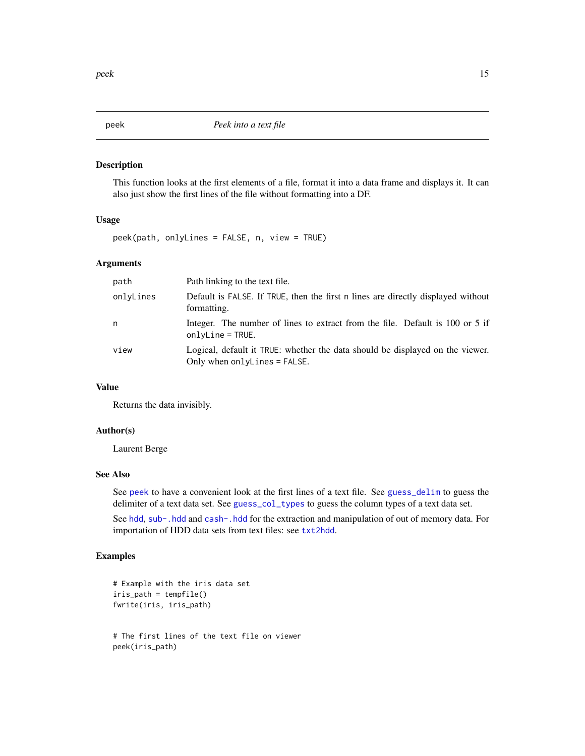#### Description

This function looks at the first elements of a file, format it into a data frame and displays it. It can also just show the first lines of the file without formatting into a DF.

# Usage

peek(path, onlyLines = FALSE, n, view = TRUE)

# Arguments

| path      | Path linking to the text file.                                                                                |
|-----------|---------------------------------------------------------------------------------------------------------------|
| onlyLines | Default is FALSE. If TRUE, then the first n lines are directly displayed without<br>formatting.               |
| n         | Integer. The number of lines to extract from the file. Default is 100 or 5 if<br>$onlyLine = TRUE.$           |
| view      | Logical, default it TRUE: whether the data should be displayed on the viewer.<br>Only when onlyLines = FALSE. |

# Value

Returns the data invisibly.

# Author(s)

Laurent Berge

# See Also

See [peek](#page-14-1) to have a convenient look at the first lines of a text file. See [guess\\_delim](#page-4-1) to guess the delimiter of a text data set. See [guess\\_col\\_types](#page-2-1) to guess the column types of a text data set.

See [hdd](#page-5-1), [sub-.hdd](#page-0-0) and [cash-.hdd](#page-0-0) for the extraction and manipulation of out of memory data. For importation of HDD data sets from text files: see [txt2hdd](#page-20-1).

```
# Example with the iris data set
iris_path = tempfile()
fwrite(iris, iris_path)
# The first lines of the text file on viewer
peek(iris_path)
```
<span id="page-14-1"></span><span id="page-14-0"></span>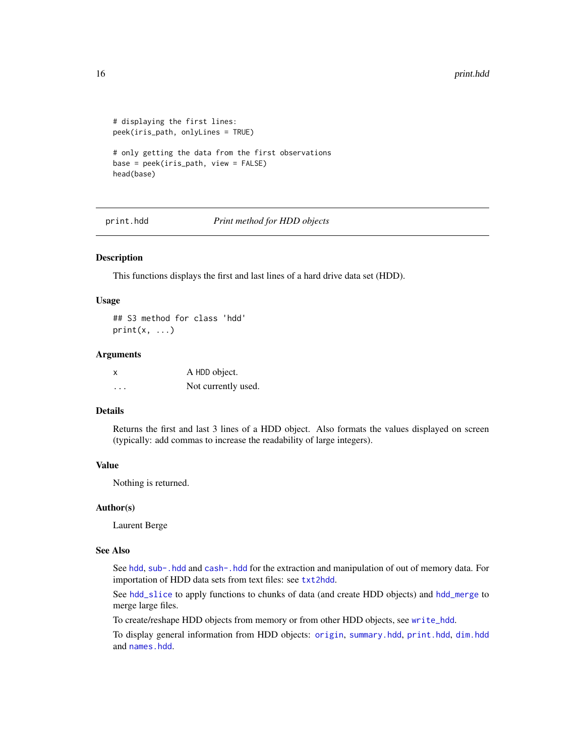```
# displaying the first lines:
peek(iris_path, onlyLines = TRUE)
# only getting the data from the first observations
base = peek(iris_path, view = FALSE)
head(base)
```
<span id="page-15-1"></span>print.hdd *Print method for HDD objects*

# Description

This functions displays the first and last lines of a hard drive data set (HDD).

# Usage

## S3 method for class 'hdd'  $print(x, \ldots)$ 

#### **Arguments**

| x | A HDD object.       |
|---|---------------------|
| . | Not currently used. |

# Details

Returns the first and last 3 lines of a HDD object. Also formats the values displayed on screen (typically: add commas to increase the readability of large integers).

# Value

Nothing is returned.

#### Author(s)

Laurent Berge

# See Also

See [hdd](#page-5-1), [sub-.hdd](#page-0-0) and [cash-.hdd](#page-0-0) for the extraction and manipulation of out of memory data. For importation of HDD data sets from text files: see [txt2hdd](#page-20-1).

See [hdd\\_slice](#page-9-1) to apply functions to chunks of data (and create HDD objects) and [hdd\\_merge](#page-6-1) to merge large files.

To create/reshape HDD objects from memory or from other HDD objects, see [write\\_hdd](#page-22-1).

To display general information from HDD objects: [origin](#page-12-1), [summary.hdd](#page-18-1), [print.hdd](#page-15-1), [dim.hdd](#page-1-1) and [names.hdd](#page-11-1).

<span id="page-15-0"></span>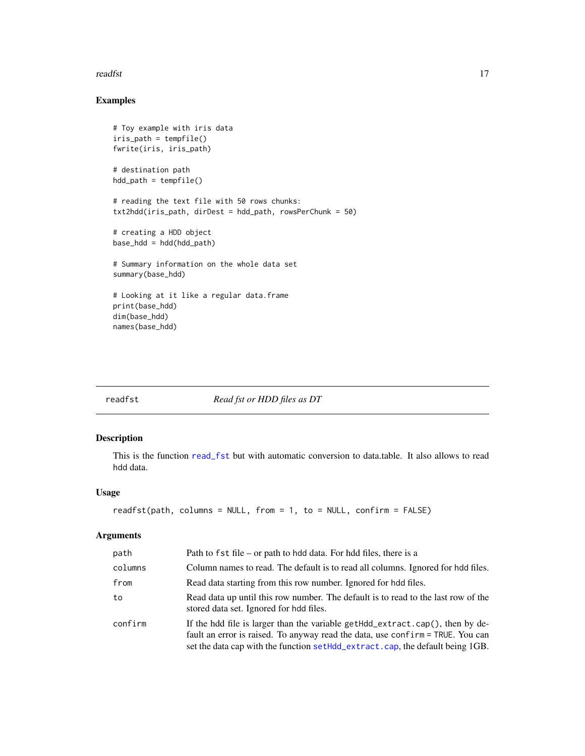#### <span id="page-16-0"></span>readfst two two contract of the contract of the contract of the contract of the contract of the contract of the contract of the contract of the contract of the contract of the contract of the contract of the contract of th

# Examples

```
# Toy example with iris data
iris_path = tempfile()
fwrite(iris, iris_path)
# destination path
hdd_path = tempfile()
# reading the text file with 50 rows chunks:
txt2hdd(iris_path, dirDest = hdd_path, rowsPerChunk = 50)
# creating a HDD object
base_hdd = hdd(hdd_path)
# Summary information on the whole data set
summary(base_hdd)
# Looking at it like a regular data.frame
print(base_hdd)
dim(base_hdd)
names(base_hdd)
```
<span id="page-16-1"></span>readfst *Read fst or HDD files as DT*

# Description

This is the function [read\\_fst](#page-0-0) but with automatic conversion to data.table. It also allows to read hdd data.

# Usage

```
readfst(path, columns = NULL, from = 1, to = NULL, confirm = FALSE)
```
# Arguments

| path    | Path to fst file – or path to hdd data. For hdd files, there is a                                                                                                                                                                                |
|---------|--------------------------------------------------------------------------------------------------------------------------------------------------------------------------------------------------------------------------------------------------|
| columns | Column names to read. The default is to read all columns. Ignored for hdd files.                                                                                                                                                                 |
| from    | Read data starting from this row number. Ignored for hdd files.                                                                                                                                                                                  |
| to      | Read data up until this row number. The default is to read to the last row of the<br>stored data set. Ignored for hdd files.                                                                                                                     |
| confirm | If the hdd file is larger than the variable getHdd_extract.cap(), then by de-<br>fault an error is raised. To anyway read the data, use confirm = TRUE. You can<br>set the data cap with the function setHdd_extract.cap, the default being 1GB. |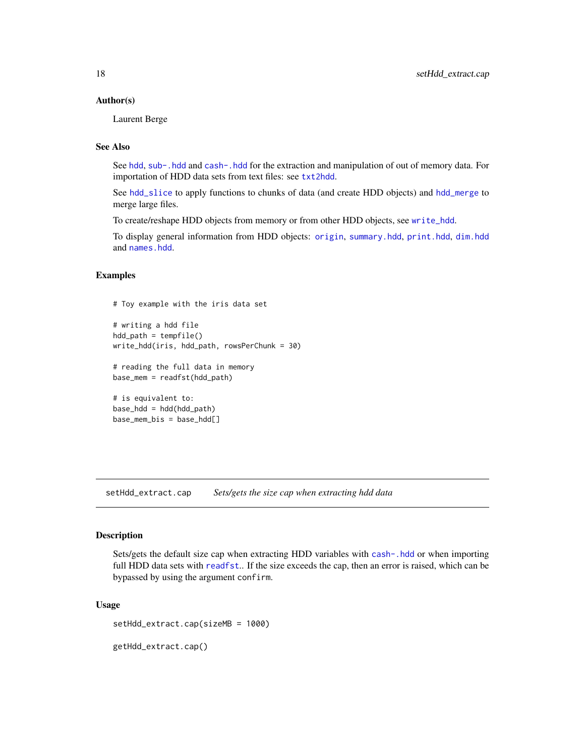#### <span id="page-17-0"></span>Author(s)

Laurent Berge

# See Also

See [hdd](#page-5-1), [sub-.hdd](#page-0-0) and [cash-.hdd](#page-0-0) for the extraction and manipulation of out of memory data. For importation of HDD data sets from text files: see [txt2hdd](#page-20-1).

See [hdd\\_slice](#page-9-1) to apply functions to chunks of data (and create HDD objects) and [hdd\\_merge](#page-6-1) to merge large files.

To create/reshape HDD objects from memory or from other HDD objects, see [write\\_hdd](#page-22-1).

To display general information from HDD objects: [origin](#page-12-1), [summary.hdd](#page-18-1), [print.hdd](#page-15-1), [dim.hdd](#page-1-1) and [names.hdd](#page-11-1).

# **Examples**

# Toy example with the iris data set

```
# writing a hdd file
hdd-path = tempfile()
write_hdd(iris, hdd_path, rowsPerChunk = 30)
```
# reading the full data in memory base\_mem = readfst(hdd\_path)

```
# is equivalent to:
base_hdd = hdd(hdd_path)
base_mem_bis = base_hdd[]
```
<span id="page-17-1"></span>setHdd\_extract.cap *Sets/gets the size cap when extracting hdd data*

# <span id="page-17-2"></span>Description

Sets/gets the default size cap when extracting HDD variables with [cash-.hdd](#page-0-0) or when importing full HDD data sets with [readfst](#page-16-1).. If the size exceeds the cap, then an error is raised, which can be bypassed by using the argument confirm.

#### Usage

setHdd\_extract.cap(sizeMB = 1000)

getHdd\_extract.cap()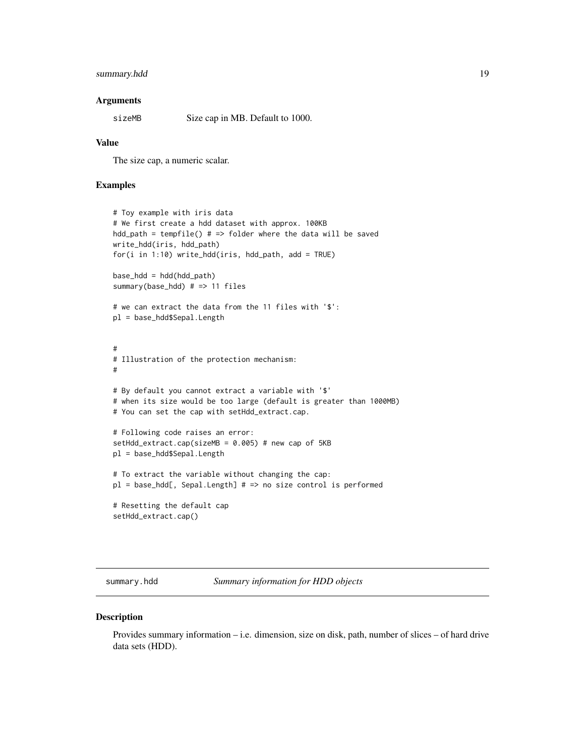# <span id="page-18-0"></span>summary.hdd 19

#### Arguments

sizeMB Size cap in MB. Default to 1000.

#### Value

The size cap, a numeric scalar.

# Examples

```
# Toy example with iris data
# We first create a hdd dataset with approx. 100KB
hdd_path = tempfile() # => folder where the data will be saved
write_hdd(iris, hdd_path)
for(i in 1:10) write_hdd(iris, hdd_path, add = TRUE)
base_hdd = hdd(hdd_path)
summary(base_hdd) # => 11 files
# we can extract the data from the 11 files with '$':
pl = base_hdd$Sepal.Length
#
# Illustration of the protection mechanism:
#
# By default you cannot extract a variable with '$'
# when its size would be too large (default is greater than 1000MB)
# You can set the cap with setHdd_extract.cap.
# Following code raises an error:
setHdd_extract.cap(sizeMB = 0.005) # new cap of 5KB
pl = base_hdd$Sepal.Length
# To extract the variable without changing the cap:
pl = base_hdd[, Sepal.Length] # => no size control is performed
# Resetting the default cap
setHdd_extract.cap()
```
<span id="page-18-1"></span>summary.hdd *Summary information for HDD objects*

#### Description

Provides summary information – i.e. dimension, size on disk, path, number of slices – of hard drive data sets (HDD).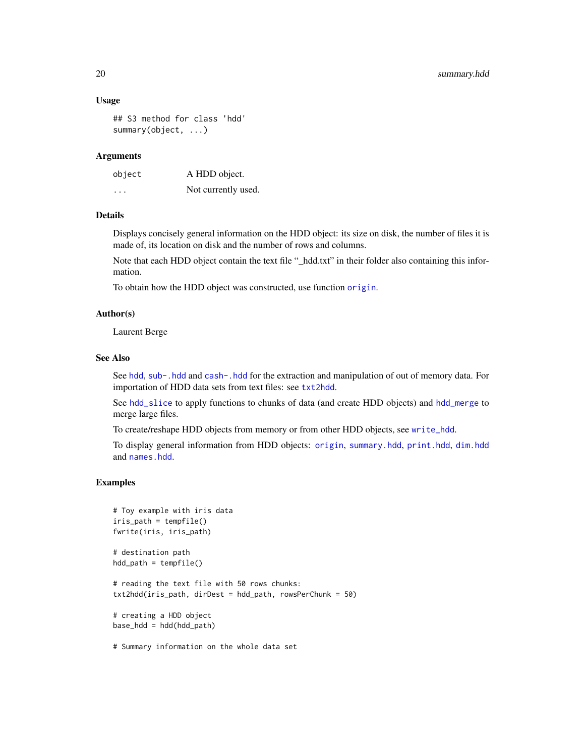#### <span id="page-19-0"></span>Usage

```
## S3 method for class 'hdd'
summary(object, ...)
```
#### **Arguments**

| object                  | A HDD object.       |
|-------------------------|---------------------|
| $\cdot$ $\cdot$ $\cdot$ | Not currently used. |

# Details

Displays concisely general information on the HDD object: its size on disk, the number of files it is made of, its location on disk and the number of rows and columns.

Note that each HDD object contain the text file "\_hdd.txt" in their folder also containing this information.

To obtain how the HDD object was constructed, use function [origin](#page-12-1).

# Author(s)

Laurent Berge

#### See Also

See [hdd](#page-5-1), [sub-.hdd](#page-0-0) and [cash-.hdd](#page-0-0) for the extraction and manipulation of out of memory data. For importation of HDD data sets from text files: see [txt2hdd](#page-20-1).

See [hdd\\_slice](#page-9-1) to apply functions to chunks of data (and create HDD objects) and [hdd\\_merge](#page-6-1) to merge large files.

To create/reshape HDD objects from memory or from other HDD objects, see [write\\_hdd](#page-22-1).

To display general information from HDD objects: [origin](#page-12-1), [summary.hdd](#page-18-1), [print.hdd](#page-15-1), [dim.hdd](#page-1-1) and [names.hdd](#page-11-1).

```
# Toy example with iris data
iris_path = tempfile()
fwrite(iris, iris_path)
# destination path
hdd_path = tempfile()
# reading the text file with 50 rows chunks:
txt2hdd(iris_path, dirDest = hdd_path, rowsPerChunk = 50)
# creating a HDD object
base_hdd = hdd(hdd_path)
# Summary information on the whole data set
```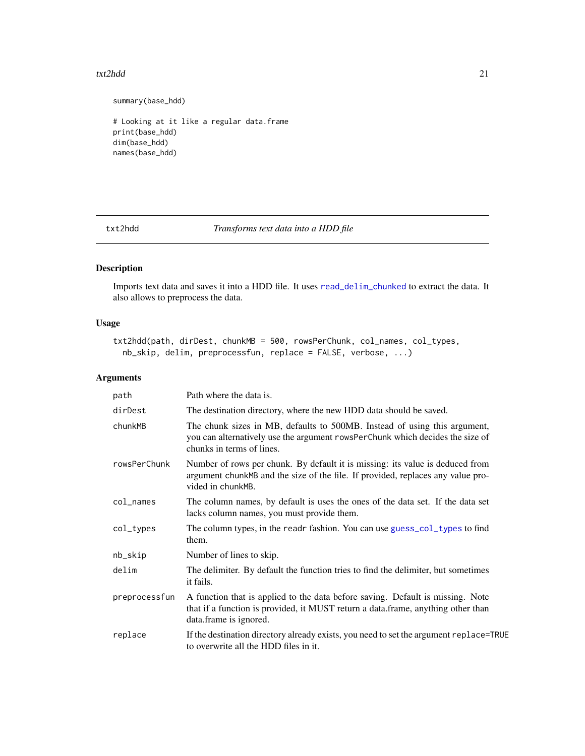#### <span id="page-20-0"></span>txt2hdd 21

summary(base\_hdd)

# Looking at it like a regular data.frame print(base\_hdd) dim(base\_hdd) names(base\_hdd)

<span id="page-20-1"></span>txt2hdd *Transforms text data into a HDD file*

# Description

Imports text data and saves it into a HDD file. It uses [read\\_delim\\_chunked](#page-0-0) to extract the data. It also allows to preprocess the data.

# Usage

```
txt2hdd(path, dirDest, chunkMB = 500, rowsPerChunk, col_names, col_types,
 nb_skip, delim, preprocessfun, replace = FALSE, verbose, ...)
```
# Arguments

| path          | Path where the data is.                                                                                                                                                                      |
|---------------|----------------------------------------------------------------------------------------------------------------------------------------------------------------------------------------------|
| dirDest       | The destination directory, where the new HDD data should be saved.                                                                                                                           |
| chunkMB       | The chunk sizes in MB, defaults to 500MB. Instead of using this argument,<br>you can alternatively use the argument rowsPerChunk which decides the size of<br>chunks in terms of lines.      |
| rowsPerChunk  | Number of rows per chunk. By default it is missing: its value is deduced from<br>argument chunkMB and the size of the file. If provided, replaces any value pro-<br>vided in chunkMB.        |
| col_names     | The column names, by default is uses the ones of the data set. If the data set<br>lacks column names, you must provide them.                                                                 |
| col_types     | The column types, in the readr fashion. You can use guess_col_types to find<br>them.                                                                                                         |
| nb_skip       | Number of lines to skip.                                                                                                                                                                     |
| delim         | The delimiter. By default the function tries to find the delimiter, but sometimes<br>it fails.                                                                                               |
| preprocessfun | A function that is applied to the data before saving. Default is missing. Note<br>that if a function is provided, it MUST return a data.frame, anything other than<br>data.frame is ignored. |
| replace       | If the destination directory already exists, you need to set the argument replace=TRUE<br>to overwrite all the HDD files in it.                                                              |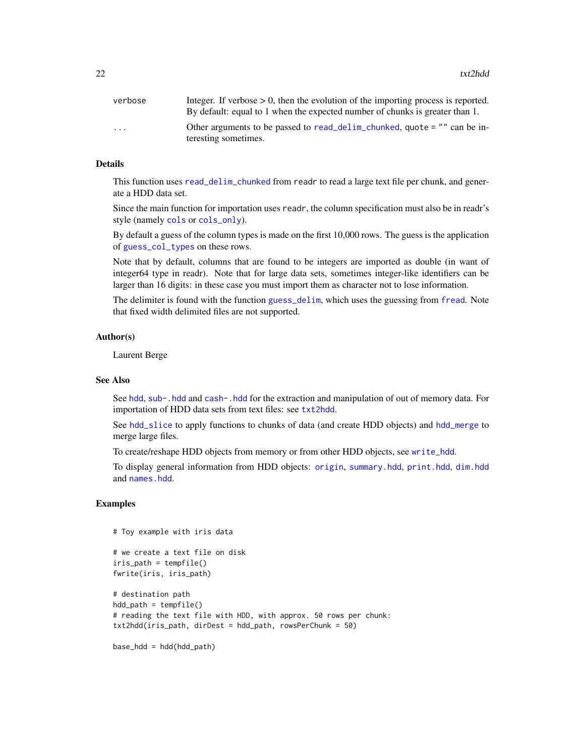<span id="page-21-0"></span> $22$  txt2hdd

| verbose                 | Integer. If verbose $> 0$ , then the evolution of the importing process is reported. |
|-------------------------|--------------------------------------------------------------------------------------|
|                         | By default: equal to 1 when the expected number of chunks is greater than 1.         |
| $\cdot$ $\cdot$ $\cdot$ | Other arguments to be passed to read_delim_chunked, quote $=$ "" can be in-          |
|                         | teresting sometimes.                                                                 |

# Details

This function uses [read\\_delim\\_chunked](#page-0-0) from readr to read a large text file per chunk, and generate a HDD data set.

Since the main function for importation uses readr, the column specification must also be in readr's style (namely [cols](#page-0-0) or [cols\\_only](#page-0-0)).

By default a guess of the column types is made on the first 10,000 rows. The guess is the application of [guess\\_col\\_types](#page-2-1) on these rows.

Note that by default, columns that are found to be integers are imported as double (in want of integer64 type in readr). Note that for large data sets, sometimes integer-like identifiers can be larger than 16 digits: in these case you must import them as character not to lose information.

The delimiter is found with the function [guess\\_delim](#page-4-1), which uses the guessing from [fread](#page-0-0). Note that fixed width delimited files are not supported.

#### Author(s)

Laurent Berge

#### See Also

See [hdd](#page-5-1), [sub-.hdd](#page-0-0) and [cash-.hdd](#page-0-0) for the extraction and manipulation of out of memory data. For importation of HDD data sets from text files: see [txt2hdd](#page-20-1).

See [hdd\\_slice](#page-9-1) to apply functions to chunks of data (and create HDD objects) and [hdd\\_merge](#page-6-1) to merge large files.

To create/reshape HDD objects from memory or from other HDD objects, see [write\\_hdd](#page-22-1).

To display general information from HDD objects: [origin](#page-12-1), [summary.hdd](#page-18-1), [print.hdd](#page-15-1), [dim.hdd](#page-1-1) and [names.hdd](#page-11-1).

```
# Toy example with iris data
# we create a text file on disk
iris_path = tempfile()
fwrite(iris, iris_path)
# destination path
hdd_path = tempfile()
# reading the text file with HDD, with approx. 50 rows per chunk:
txt2hdd(iris_path, dirDest = hdd_path, rowsPerChunk = 50)
base_hdd = hdd(hdd_path)
```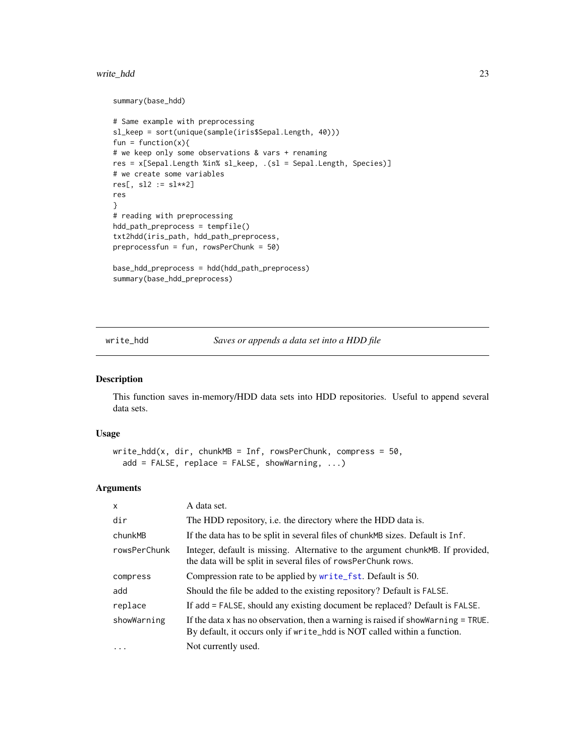#### <span id="page-22-0"></span>write\_hdd 23

```
summary(base_hdd)
```

```
# Same example with preprocessing
sl_keep = sort(unique(sample(iris$Sepal.Length, 40)))
fun = function(x){
# we keep only some observations & vars + renaming
res = x[Sepal.Length %in% sl_keep, .(sl = Sepal.Length, Species)]
# we create some variables
res[, sl2 := sl**2]res
}
# reading with preprocessing
hdd_path_preprocess = tempfile()
txt2hdd(iris_path, hdd_path_preprocess,
preprocessfun = fun, rowsPerChunk = 50)
```

```
base_hdd_preprocess = hdd(hdd_path_preprocess)
summary(base_hdd_preprocess)
```
<span id="page-22-1"></span>write\_hdd *Saves or appends a data set into a HDD file*

# Description

This function saves in-memory/HDD data sets into HDD repositories. Useful to append several data sets.

#### Usage

```
write_hdd(x, dir, chunkMB = Inf, rowsPerChunk, compress = 50,
  add = FALSE, replace = FALSE, showing, ...)
```
# Arguments

| $\mathsf{x}$ | A data set.                                                                                                                                                        |
|--------------|--------------------------------------------------------------------------------------------------------------------------------------------------------------------|
| dir          | The HDD repository, i.e. the directory where the HDD data is.                                                                                                      |
| chunkMB      | If the data has to be split in several files of chunk MB sizes. Default is Inf.                                                                                    |
| rowsPerChunk | Integer, default is missing. Alternative to the argument chunk MB. If provided,<br>the data will be split in several files of rowsPerChunk rows.                   |
| compress     | Compression rate to be applied by write_fst. Default is 50.                                                                                                        |
| add          | Should the file be added to the existing repository? Default is FALSE.                                                                                             |
| replace      | If add = FALSE, should any existing document be replaced? Default is FALSE.                                                                                        |
| showWarning  | If the data $x$ has no observation, then a warning is raised if show Warning $=$ TRUE.<br>By default, it occurs only if write_hdd is NOT called within a function. |
| $\cdots$     | Not currently used.                                                                                                                                                |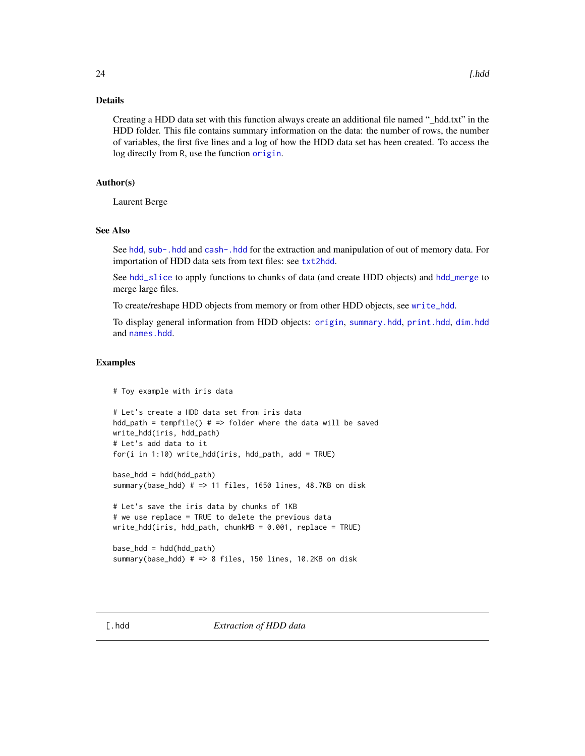# <span id="page-23-0"></span>Details

Creating a HDD data set with this function always create an additional file named "\_hdd.txt" in the HDD folder. This file contains summary information on the data: the number of rows, the number of variables, the first five lines and a log of how the HDD data set has been created. To access the log directly from R, use the function [origin](#page-12-1).

# Author(s)

Laurent Berge

# See Also

See [hdd](#page-5-1), [sub-.hdd](#page-0-0) and [cash-.hdd](#page-0-0) for the extraction and manipulation of out of memory data. For importation of HDD data sets from text files: see [txt2hdd](#page-20-1).

See [hdd\\_slice](#page-9-1) to apply functions to chunks of data (and create HDD objects) and [hdd\\_merge](#page-6-1) to merge large files.

To create/reshape HDD objects from memory or from other HDD objects, see [write\\_hdd](#page-22-1).

To display general information from HDD objects: [origin](#page-12-1), [summary.hdd](#page-18-1), [print.hdd](#page-15-1), [dim.hdd](#page-1-1) and [names.hdd](#page-11-1).

# Examples

# Toy example with iris data

```
# Let's create a HDD data set from iris data
hdd_path = tempfile() # => folder where the data will be saved
write_hdd(iris, hdd_path)
# Let's add data to it
for(i in 1:10) write_hdd(iris, hdd_path, add = TRUE)
base_hdd = hdd(hdd_path)
summary(base_hdd) # => 11 files, 1650 lines, 48.7KB on disk
# Let's save the iris data by chunks of 1KB
# we use replace = TRUE to delete the previous data
write_hdd(iris, hdd_path, chunkMB = 0.001, replace = TRUE)
```

```
base_hdd = hdd(hdd_path)
summary(base_hdd) # => 8 files, 150 lines, 10.2KB on disk
```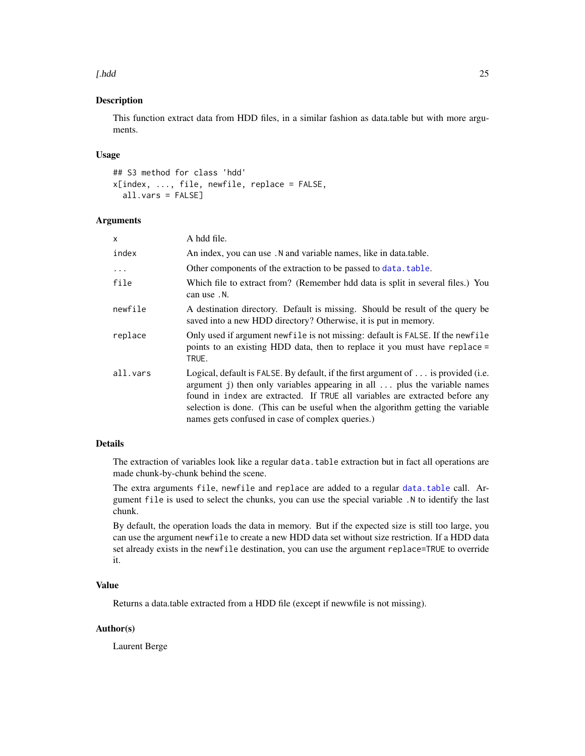#### <span id="page-24-0"></span>[.hdd 25

# Description

This function extract data from HDD files, in a similar fashion as data.table but with more arguments.

# Usage

```
## S3 method for class 'hdd'
x[index, ..., file, newfile, replace = FALSE,
  all.vars = FALSE]
```
# Arguments

| x        | A hdd file.                                                                                                                                                                                                                                                                                                                                                                                  |
|----------|----------------------------------------------------------------------------------------------------------------------------------------------------------------------------------------------------------------------------------------------------------------------------------------------------------------------------------------------------------------------------------------------|
| index    | An index, you can use . N and variable names, like in data.table.                                                                                                                                                                                                                                                                                                                            |
| $\cdots$ | Other components of the extraction to be passed to data. table.                                                                                                                                                                                                                                                                                                                              |
| file     | Which file to extract from? (Remember hdd data is split in several files.) You<br>can use. N.                                                                                                                                                                                                                                                                                                |
| newfile  | A destination directory. Default is missing. Should be result of the query be<br>saved into a new HDD directory? Otherwise, it is put in memory.                                                                                                                                                                                                                                             |
| replace  | Only used if argument newfile is not missing: default is FALSE. If the newfile<br>points to an existing HDD data, then to replace it you must have replace =<br>TRUE.                                                                                                                                                                                                                        |
| all.vars | Logical, default is FALSE. By default, if the first argument of $\dots$ is provided (i.e.<br>argument j) then only variables appearing in all  plus the variable names<br>found in index are extracted. If TRUE all variables are extracted before any<br>selection is done. (This can be useful when the algorithm getting the variable<br>names gets confused in case of complex queries.) |

# Details

The extraction of variables look like a regular data.table extraction but in fact all operations are made chunk-by-chunk behind the scene.

The extra arguments file, newfile and replace are added to a regular [data.table](#page-0-0) call. Argument file is used to select the chunks, you can use the special variable .N to identify the last chunk.

By default, the operation loads the data in memory. But if the expected size is still too large, you can use the argument newfile to create a new HDD data set without size restriction. If a HDD data set already exists in the newfile destination, you can use the argument replace=TRUE to override it.

# Value

Returns a data.table extracted from a HDD file (except if newwfile is not missing).

# Author(s)

Laurent Berge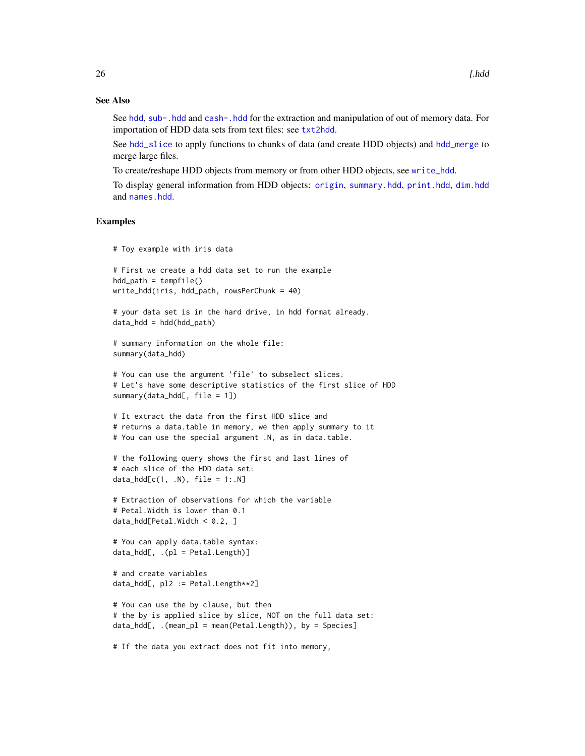# See Also

See [hdd](#page-5-1), [sub-.hdd](#page-0-0) and [cash-.hdd](#page-0-0) for the extraction and manipulation of out of memory data. For importation of HDD data sets from text files: see [txt2hdd](#page-20-1).

See [hdd\\_slice](#page-9-1) to apply functions to chunks of data (and create HDD objects) and [hdd\\_merge](#page-6-1) to merge large files.

To create/reshape HDD objects from memory or from other HDD objects, see [write\\_hdd](#page-22-1).

To display general information from HDD objects: [origin](#page-12-1), [summary.hdd](#page-18-1), [print.hdd](#page-15-1), [dim.hdd](#page-1-1) and [names.hdd](#page-11-1).

# Examples

```
# Toy example with iris data
```

```
# First we create a hdd data set to run the example
hdd_path = tempfile()
write_hdd(iris, hdd_path, rowsPerChunk = 40)
```

```
# your data set is in the hard drive, in hdd format already.
data_hdd = hdd(hdd_path)
```

```
# summary information on the whole file:
summary(data_hdd)
```

```
# You can use the argument 'file' to subselect slices.
# Let's have some descriptive statistics of the first slice of HDD
summary(data_hdd[, file = 1])
```

```
# It extract the data from the first HDD slice and
# returns a data.table in memory, we then apply summary to it
# You can use the special argument .N, as in data.table.
```

```
# the following query shows the first and last lines of
# each slice of the HDD data set:
data\_hdd[c(1, .N), file = 1:.N]
```

```
# Extraction of observations for which the variable
# Petal.Width is lower than 0.1
data\_hdd[Petal.Width < 0.2, ]
```

```
# You can apply data.table syntax:
data\_hdd[, . (pl = Petal.Length)]
```

```
# and create variables
data_hdd[, pl2 := Petal.Length**2]
```

```
# You can use the by clause, but then
# the by is applied slice by slice, NOT on the full data set:
data_hdd[, .(mean_pl = mean(Petal.Length)), by = Species]
```
# If the data you extract does not fit into memory,

<span id="page-25-0"></span>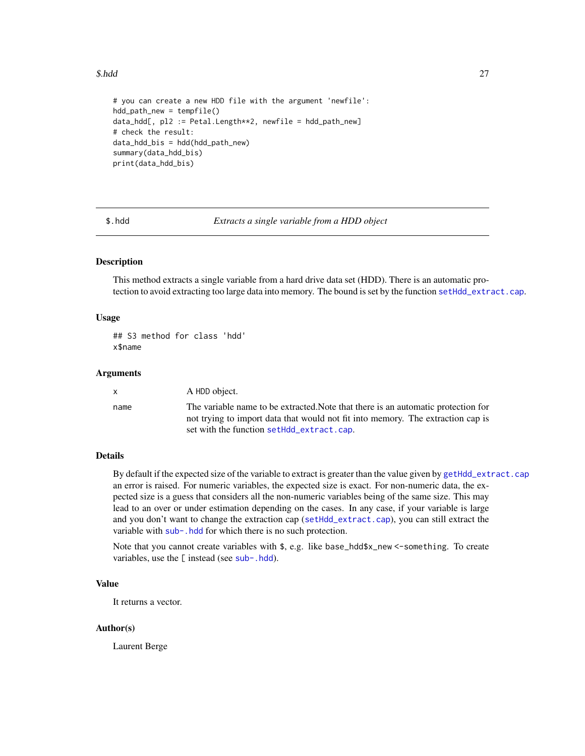#### <span id="page-26-0"></span> $$.hdd$  27

```
# you can create a new HDD file with the argument 'newfile':
hdd_path_new = tempfile()
data_hdd[, pl2 := Petal.Length**2, newfile = hdd_path_new]
# check the result:
data_hdd_bis = hdd(hdd_path_new)
summary(data_hdd_bis)
print(data_hdd_bis)
```
\$.hdd *Extracts a single variable from a HDD object*

# **Description**

This method extracts a single variable from a hard drive data set (HDD). There is an automatic protection to avoid extracting too large data into memory. The bound is set by the function [setHdd\\_extract.cap](#page-17-1).

# Usage

## S3 method for class 'hdd' x\$name

# Arguments

| $\mathsf{x}$ | A HDD object.                                                                                                                                                                                                     |
|--------------|-------------------------------------------------------------------------------------------------------------------------------------------------------------------------------------------------------------------|
| name         | The variable name to be extracted. Note that there is an automatic protection for<br>not trying to import data that would not fit into memory. The extraction cap is<br>set with the function setHdd_extract.cap. |

# Details

By default if the expected size of the variable to extract is greater than the value given by [getHdd\\_extract.cap](#page-17-2) an error is raised. For numeric variables, the expected size is exact. For non-numeric data, the expected size is a guess that considers all the non-numeric variables being of the same size. This may lead to an over or under estimation depending on the cases. In any case, if your variable is large and you don't want to change the extraction cap ([setHdd\\_extract.cap](#page-17-1)), you can still extract the variable with [sub-.hdd](#page-0-0) for which there is no such protection.

Note that you cannot create variables with \$, e.g. like base\_hdd\$x\_new <-something. To create variables, use the [ instead (see [sub-.hdd](#page-0-0)).

# Value

It returns a vector.

#### Author(s)

Laurent Berge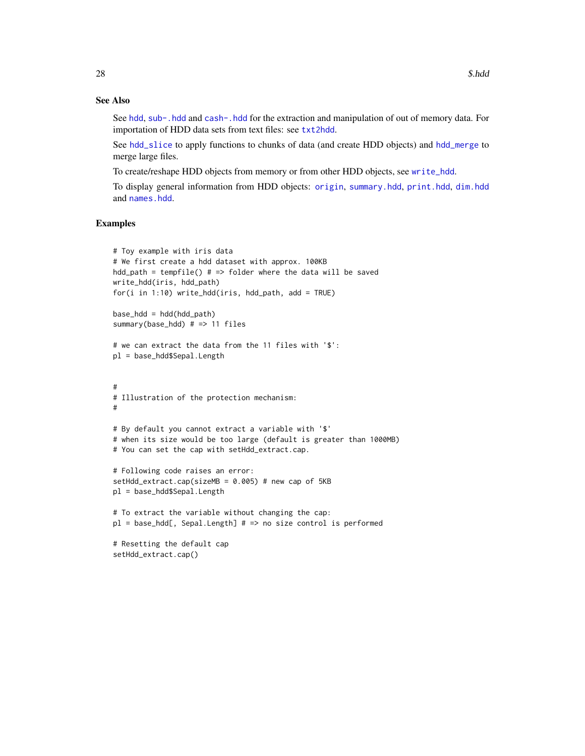# See Also

See [hdd](#page-5-1), [sub-.hdd](#page-0-0) and [cash-.hdd](#page-0-0) for the extraction and manipulation of out of memory data. For importation of HDD data sets from text files: see [txt2hdd](#page-20-1).

See [hdd\\_slice](#page-9-1) to apply functions to chunks of data (and create HDD objects) and [hdd\\_merge](#page-6-1) to merge large files.

To create/reshape HDD objects from memory or from other HDD objects, see [write\\_hdd](#page-22-1).

To display general information from HDD objects: [origin](#page-12-1), [summary.hdd](#page-18-1), [print.hdd](#page-15-1), [dim.hdd](#page-1-1) and [names.hdd](#page-11-1).

# Examples

setHdd\_extract.cap()

```
# Toy example with iris data
# We first create a hdd dataset with approx. 100KB
hdd_path = tempfile() # => folder where the data will be saved
write_hdd(iris, hdd_path)
for(i in 1:10) write_hdd(iris, hdd_path, add = TRUE)
base_hdd = hdd(hdd_path)
summary(base_hdd) # => 11 files
# we can extract the data from the 11 files with '$':
pl = base_hdd$Sepal.Length
#
# Illustration of the protection mechanism:
#
# By default you cannot extract a variable with '$'
# when its size would be too large (default is greater than 1000MB)
# You can set the cap with setHdd_extract.cap.
# Following code raises an error:
setHdd_extract.cap(sizeMB = 0.005) # new cap of 5KB
pl = base_hdd$Sepal.Length
# To extract the variable without changing the cap:
pl = base\_hdd[, Sepal.Length] # => no size control is performed# Resetting the default cap
```
<span id="page-27-0"></span>